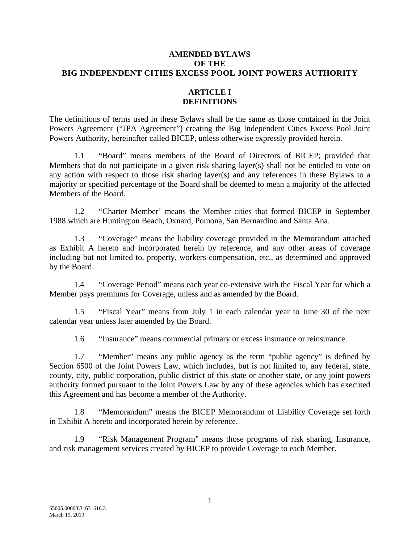#### **AMENDED BYLAWS OF THE BIG INDEPENDENT CITIES EXCESS POOL JOINT POWERS AUTHORITY**

# **ARTICLE I DEFINITIONS**

The definitions of terms used in these Bylaws shall be the same as those contained in the Joint Powers Agreement ("JPA Agreement") creating the Big Independent Cities Excess Pool Joint Powers Authority, hereinafter called BICEP, unless otherwise expressly provided herein.

1.1 "Board" means members of the Board of Directors of BICEP; provided that Members that do not participate in a given risk sharing layer(s) shall not be entitled to vote on any action with respect to those risk sharing layer(s) and any references in these Bylaws to a majority or specified percentage of the Board shall be deemed to mean a majority of the affected Members of the Board.

1.2 "Charter Member' means the Member cities that formed BICEP in September 1988 which are Huntington Beach, Oxnard, Pomona, San Bernardino and Santa Ana.

1.3 "Coverage" means the liability coverage provided in the Memorandum attached as Exhibit A hereto and incorporated herein by reference, and any other areas of coverage including but not limited to, property, workers compensation, etc., as determined and approved by the Board.

1.4 "Coverage Period" means each year co-extensive with the Fiscal Year for which a Member pays premiums for Coverage, unless and as amended by the Board.

1.5 "Fiscal Year" means from July 1 in each calendar year to June 30 of the next calendar year unless later amended by the Board.

1.6 "Insurance" means commercial primary or excess insurance or reinsurance.

1.7 "Member" means any public agency as the term "public agency" is defined by Section 6500 of the Joint Powers Law, which includes, but is not limited to, any federal, state, county, city, public corporation, public district of this state or another state, or any joint powers authority formed pursuant to the Joint Powers Law by any of these agencies which has executed this Agreement and has become a member of the Authority.

1.8 "Memorandum" means the BICEP Memorandum of Liability Coverage set forth in Exhibit A hereto and incorporated herein by reference.

1.9 "Risk Management Program" means those programs of risk sharing, Insurance, and risk management services created by BICEP to provide Coverage to each Member.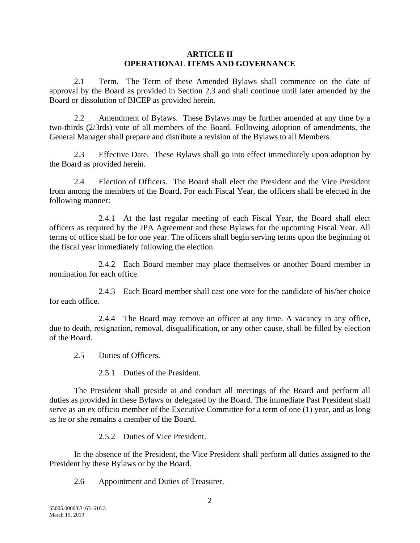#### **ARTICLE II OPERATIONAL ITEMS AND GOVERNANCE**

2.1 Term. The Term of these Amended Bylaws shall commence on the date of approval by the Board as provided in Section 2.3 and shall continue until later amended by the Board or dissolution of BICEP as provided herein.

2.2 Amendment of Bylaws. These Bylaws may be further amended at any time by a two-thirds (2/3rds) vote of all members of the Board. Following adoption of amendments, the General Manager shall prepare and distribute a revision of the Bylaws to all Members.

2.3 Effective Date. These Bylaws shall go into effect immediately upon adoption by the Board as provided herein.

2.4 Election of Officers. The Board shall elect the President and the Vice President from among the members of the Board. For each Fiscal Year, the officers shall be elected in the following manner:

2.4.1 At the last regular meeting of each Fiscal Year, the Board shall elect officers as required by the JPA Agreement and these Bylaws for the upcoming Fiscal Year. All terms of office shall be for one year. The officers shall begin serving terms upon the beginning of the fiscal year immediately following the election.

2.4.2 Each Board member may place themselves or another Board member in nomination for each office.

2.4.3 Each Board member shall cast one vote for the candidate of his/her choice for each office.

2.4.4 The Board may remove an officer at any time. A vacancy in any office, due to death, resignation, removal, disqualification, or any other cause, shall be filled by election of the Board.

2.5 Duties of Officers.

2.5.1 Duties of the President.

The President shall preside at and conduct all meetings of the Board and perform all duties as provided in these Bylaws or delegated by the Board. The immediate Past President shall serve as an ex officio member of the Executive Committee for a term of one (1) year, and as long as he or she remains a member of the Board.

2.5.2 Duties of Vice President.

In the absence of the President, the Vice President shall perform all duties assigned to the President by these Bylaws or by the Board.

2.6 Appointment and Duties of Treasurer.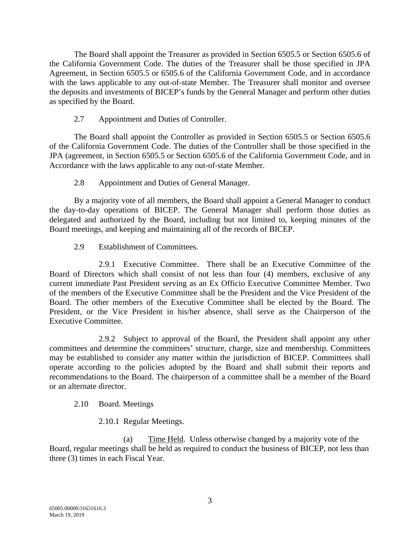The Board shall appoint the Treasurer as provided in Section 6505.5 or Section 6505.6 of the California Government Code. The duties of the Treasurer shall be those specified in JPA Agreement, in Section 6505.5 or 6505.6 of the California Government Code, and in accordance with the laws applicable to any out-of-state Member. The Treasurer shall monitor and oversee the deposits and investments of BICEP's funds by the General Manager and perform other duties as specified by the Board.

# 2.7 Appointment and Duties of Controller.

The Board shall appoint the Controller as provided in Section 6505.5 or Section 6505.6 of the California Government Code. The duties of the Controller shall be those specified in the JPA (agreement, in Section 6505.5 or Section 6505.6 of the California Government Code, and in Accordance with the laws applicable to any out-of-state Member.

2.8 Appointment and Duties of General Manager.

By a majority vote of all members, the Board shall appoint a General Manager to conduct the day-to-day operations of BICEP. The General Manager shall perform those duties as delegated and authorized by the Board, including but not limited to, keeping minutes of the Board meetings, and keeping and maintaining all of the records of BICEP.

2.9 Establishment of Committees.

2.9.1 Executive Committee. There shall be an Executive Committee of the Board of Directors which shall consist of not less than four (4) members, exclusive of any current immediate Past President serving as an Ex Officio Executive Committee Member. Two of the members of the Executive Committee shall be the President and the Vice President of the Board. The other members of the Executive Committee shall be elected by the Board. The President, or the Vice President in his/her absence, shall serve as the Chairperson of the Executive Committee.

2.9.2 Subject to approval of the Board, the President shall appoint any other committees and determine the committees' structure, charge, size and membership. Committees may be established to consider any matter within the jurisdiction of BICEP. Committees shall operate according to the policies adopted by the Board and shall submit their reports and recommendations to the Board. The chairperson of a committee shall be a member of the Board or an alternate director.

### 2.10 Board. Meetings

2.10.1 Regular Meetings.

(a) Time Held. Unless otherwise changed by a majority vote of the Board, regular meetings shall be held as required to conduct the business of BICEP, not less than three (3) times in each Fiscal Year.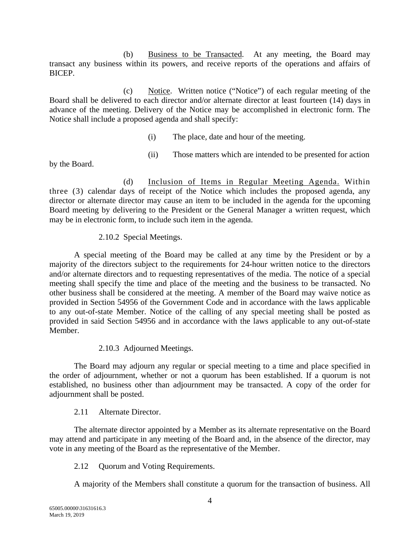(b) Business to be Transacted. At any meeting, the Board may transact any business within its powers, and receive reports of the operations and affairs of BICEP.

(c) Notice. Written notice ("Notice") of each regular meeting of the Board shall be delivered to each director and/or alternate director at least fourteen (14) days in advance of the meeting. Delivery of the Notice may be accomplished in electronic form. The Notice shall include a proposed agenda and shall specify:

- (i) The place, date and hour of the meeting.
- (ii) Those matters which are intended to be presented for action

by the Board.

(d) Inclusion of Items in Regular Meeting Agenda. Within three (3) calendar days of receipt of the Notice which includes the proposed agenda, any director or alternate director may cause an item to be included in the agenda for the upcoming Board meeting by delivering to the President or the General Manager a written request, which may be in electronic form, to include such item in the agenda.

# 2.10.2 Special Meetings.

A special meeting of the Board may be called at any time by the President or by a majority of the directors subject to the requirements for 24-hour written notice to the directors and/or alternate directors and to requesting representatives of the media. The notice of a special meeting shall specify the time and place of the meeting and the business to be transacted. No other business shall be considered at the meeting. A member of the Board may waive notice as provided in Section 54956 of the Government Code and in accordance with the laws applicable to any out-of-state Member. Notice of the calling of any special meeting shall be posted as provided in said Section 54956 and in accordance with the laws applicable to any out-of-state Member.

# 2.10.3 Adjourned Meetings.

The Board may adjourn any regular or special meeting to a time and place specified in the order of adjournment, whether or not a quorum has been established. If a quorum is not established, no business other than adjournment may be transacted. A copy of the order for adjournment shall be posted.

# 2.11 Alternate Director.

The alternate director appointed by a Member as its alternate representative on the Board may attend and participate in any meeting of the Board and, in the absence of the director, may vote in any meeting of the Board as the representative of the Member.

2.12 Quorum and Voting Requirements.

A majority of the Members shall constitute a quorum for the transaction of business. All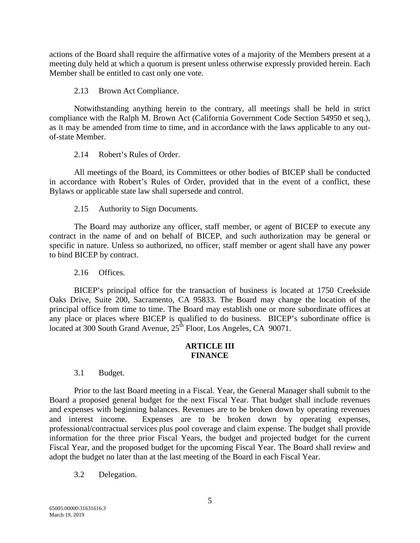actions of the Board shall require the affirmative votes of a majority of the Members present at a meeting duly held at which a quorum is present unless otherwise expressly provided herein. Each Member shall be entitled to cast only one vote.

2.13 Brown Act Compliance.

Notwithstanding anything herein to the contrary, all meetings shall be held in strict compliance with the Ralph M. Brown Act (California Government Code Section 54950 et seq.), as it may be amended from time to time, and in accordance with the laws applicable to any outof-state Member.

2.14 Robert's Rules of Order.

All meetings of the Board, its Committees or other bodies of BICEP shall be conducted in accordance with Robert's Rules of Order, provided that in the event of a conflict, these Bylaws or applicable state law shall supersede and control.

2.15 Authority to Sign Documents.

The Board may authorize any officer, staff member, or agent of BICEP to execute any contract in the name of and on behalf of BICEP, and such authorization may be general or specific in nature. Unless so authorized, no officer, staff member or agent shall have any power to bind BICEP by contract.

2.16 Offices.

BICEP's principal office for the transaction of business is located at 1750 Creekside Oaks Drive, Suite 200, Sacramento, CA 95833. The Board may change the location of the principal office from time to time. The Board may establish one or more subordinate offices at any place or places where BICEP is qualified to do business. BICEP's subordinate office is located at 300 South Grand Avenue,  $25^{\text{th}}$  Floor, Los Angeles, CA 90071.

### **ARTICLE III FINANCE**

3.1 Budget.

Prior to the last Board meeting in a Fiscal. Year, the General Manager shall submit to the Board a proposed general budget for the next Fiscal Year. That budget shall include revenues and expenses with beginning balances. Revenues are to be broken down by operating revenues and interest income. Expenses are to be broken down by operating expenses, professional/contractual services plus pool coverage and claim expense. The budget shall provide information for the three prior Fiscal Years, the budget and projected budget for the current Fiscal Year, and the proposed budget for the upcoming Fiscal Year. The Board shall review and adopt the budget no later than at the last meeting of the Board in each Fiscal Year.

3.2 Delegation.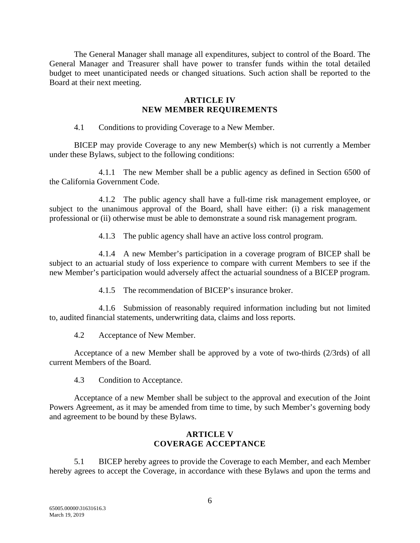The General Manager shall manage all expenditures, subject to control of the Board. The General Manager and Treasurer shall have power to transfer funds within the total detailed budget to meet unanticipated needs or changed situations. Such action shall be reported to the Board at their next meeting.

## **ARTICLE IV NEW MEMBER REQUIREMENTS**

4.1 Conditions to providing Coverage to a New Member.

BICEP may provide Coverage to any new Member(s) which is not currently a Member under these Bylaws, subject to the following conditions:

4.1.1 The new Member shall be a public agency as defined in Section 6500 of the California Government Code.

4.1.2 The public agency shall have a full-time risk management employee, or subject to the unanimous approval of the Board, shall have either: (i) a risk management professional or (ii) otherwise must be able to demonstrate a sound risk management program.

4.1.3 The public agency shall have an active loss control program.

4.1.4 A new Member's participation in a coverage program of BICEP shall be subject to an actuarial study of loss experience to compare with current Members to see if the new Member's participation would adversely affect the actuarial soundness of a BICEP program.

4.1.5 The recommendation of BICEP's insurance broker.

4.1.6 Submission of reasonably required information including but not limited to, audited financial statements, underwriting data, claims and loss reports.

4.2 Acceptance of New Member.

Acceptance of a new Member shall be approved by a vote of two-thirds (2/3rds) of all current Members of the Board.

4.3 Condition to Acceptance.

Acceptance of a new Member shall be subject to the approval and execution of the Joint Powers Agreement, as it may be amended from time to time, by such Member's governing body and agreement to be bound by these Bylaws.

## **ARTICLE V COVERAGE ACCEPTANCE**

5.1 BICEP hereby agrees to provide the Coverage to each Member, and each Member hereby agrees to accept the Coverage, in accordance with these Bylaws and upon the terms and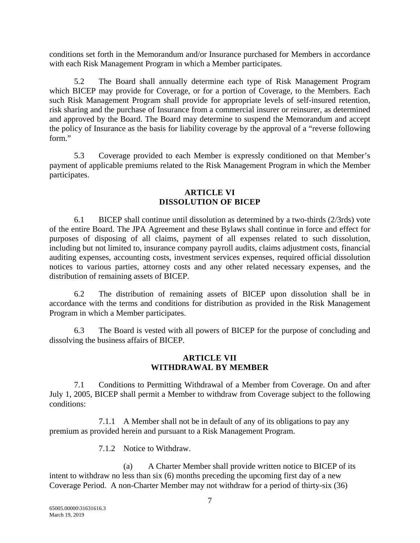conditions set forth in the Memorandum and/or Insurance purchased for Members in accordance with each Risk Management Program in which a Member participates.

5.2 The Board shall annually determine each type of Risk Management Program which BICEP may provide for Coverage, or for a portion of Coverage, to the Members. Each such Risk Management Program shall provide for appropriate levels of self-insured retention, risk sharing and the purchase of Insurance from a commercial insurer or reinsurer, as determined and approved by the Board. The Board may determine to suspend the Memorandum and accept the policy of Insurance as the basis for liability coverage by the approval of a "reverse following form."

5.3 Coverage provided to each Member is expressly conditioned on that Member's payment of applicable premiums related to the Risk Management Program in which the Member participates.

### **ARTICLE VI DISSOLUTION OF BICEP**

6.1 BICEP shall continue until dissolution as determined by a two-thirds (2/3rds) vote of the entire Board. The JPA Agreement and these Bylaws shall continue in force and effect for purposes of disposing of all claims, payment of all expenses related to such dissolution, including but not limited to, insurance company payroll audits, claims adjustment costs, financial auditing expenses, accounting costs, investment services expenses, required official dissolution notices to various parties, attorney costs and any other related necessary expenses, and the distribution of remaining assets of BICEP.

6.2 The distribution of remaining assets of BICEP upon dissolution shall be in accordance with the terms and conditions for distribution as provided in the Risk Management Program in which a Member participates.

6.3 The Board is vested with all powers of BICEP for the purpose of concluding and dissolving the business affairs of BICEP.

## **ARTICLE VII WITHDRAWAL BY MEMBER**

7.1 Conditions to Permitting Withdrawal of a Member from Coverage. On and after July 1, 2005, BICEP shall permit a Member to withdraw from Coverage subject to the following conditions:

7.1.1 A Member shall not be in default of any of its obligations to pay any premium as provided herein and pursuant to a Risk Management Program.

7.1.2 Notice to Withdraw.

(a) A Charter Member shall provide written notice to BICEP of its intent to withdraw no less than six (6) months preceding the upcoming first day of a new Coverage Period. A non-Charter Member may not withdraw for a period of thirty-six (36)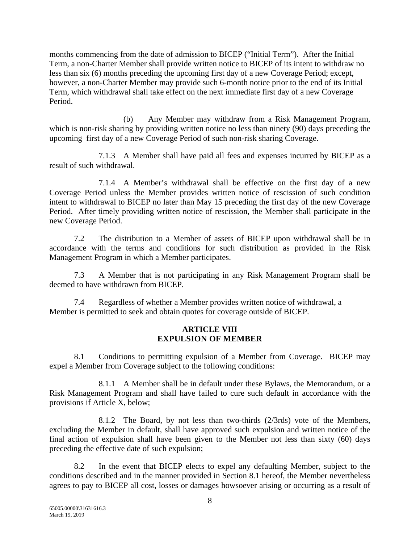months commencing from the date of admission to BICEP ("Initial Term"). After the Initial Term, a non-Charter Member shall provide written notice to BICEP of its intent to withdraw no less than six (6) months preceding the upcoming first day of a new Coverage Period; except, however, a non-Charter Member may provide such 6-month notice prior to the end of its Initial Term, which withdrawal shall take effect on the next immediate first day of a new Coverage Period.

(b) Any Member may withdraw from a Risk Management Program, which is non-risk sharing by providing written notice no less than ninety (90) days preceding the upcoming first day of a new Coverage Period of such non-risk sharing Coverage.

7.1.3 A Member shall have paid all fees and expenses incurred by BICEP as a result of such withdrawal.

7.1.4 A Member's withdrawal shall be effective on the first day of a new Coverage Period unless the Member provides written notice of rescission of such condition intent to withdrawal to BICEP no later than May 15 preceding the first day of the new Coverage Period. After timely providing written notice of rescission, the Member shall participate in the new Coverage Period.

7.2 The distribution to a Member of assets of BICEP upon withdrawal shall be in accordance with the terms and conditions for such distribution as provided in the Risk Management Program in which a Member participates.

7.3 A Member that is not participating in any Risk Management Program shall be deemed to have withdrawn from BICEP.

7.4 Regardless of whether a Member provides written notice of withdrawal, a Member is permitted to seek and obtain quotes for coverage outside of BICEP.

### **ARTICLE VIII EXPULSION OF MEMBER**

8.1 Conditions to permitting expulsion of a Member from Coverage. BICEP may expel a Member from Coverage subject to the following conditions:

8.1.1 A Member shall be in default under these Bylaws, the Memorandum, or a Risk Management Program and shall have failed to cure such default in accordance with the provisions if Article X, below;

8.1.2 The Board, by not less than two-thirds (2/3rds) vote of the Members, excluding the Member in default, shall have approved such expulsion and written notice of the final action of expulsion shall have been given to the Member not less than sixty (60) days preceding the effective date of such expulsion;

8.2 In the event that BICEP elects to expel any defaulting Member, subject to the conditions described and in the manner provided in Section 8.1 hereof, the Member nevertheless agrees to pay to BICEP all cost, losses or damages howsoever arising or occurring as a result of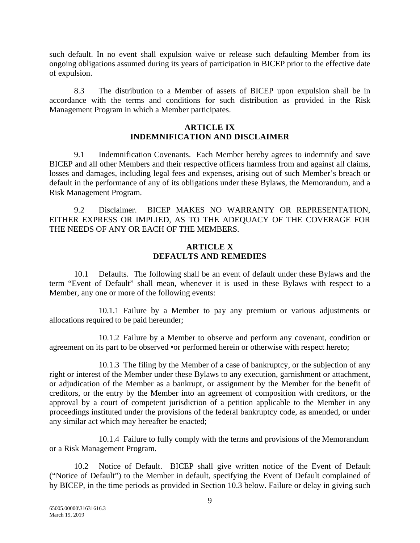such default. In no event shall expulsion waive or release such defaulting Member from its ongoing obligations assumed during its years of participation in BICEP prior to the effective date of expulsion.

8.3 The distribution to a Member of assets of BICEP upon expulsion shall be in accordance with the terms and conditions for such distribution as provided in the Risk Management Program in which a Member participates.

## **ARTICLE IX INDEMNIFICATION AND DISCLAIMER**

9.1 Indemnification Covenants. Each Member hereby agrees to indemnify and save BICEP and all other Members and their respective officers harmless from and against all claims, losses and damages, including legal fees and expenses, arising out of such Member's breach or default in the performance of any of its obligations under these Bylaws, the Memorandum, and a Risk Management Program.

9.2 Disclaimer. BICEP MAKES NO WARRANTY OR REPRESENTATION, EITHER EXPRESS OR IMPLIED, AS TO THE ADEQUACY OF THE COVERAGE FOR THE NEEDS OF ANY OR EACH OF THE MEMBERS.

## **ARTICLE X DEFAULTS AND REMEDIES**

10.1 Defaults. The following shall be an event of default under these Bylaws and the term "Event of Default" shall mean, whenever it is used in these Bylaws with respect to a Member, any one or more of the following events:

10.1.1 Failure by a Member to pay any premium or various adjustments or allocations required to be paid hereunder;

10.1.2 Failure by a Member to observe and perform any covenant, condition or agreement on its part to be observed •or performed herein or otherwise with respect hereto;

10.1.3 The filing by the Member of a case of bankruptcy, or the subjection of any right or interest of the Member under these Bylaws to any execution, garnishment or attachment, or adjudication of the Member as a bankrupt, or assignment by the Member for the benefit of creditors, or the entry by the Member into an agreement of composition with creditors, or the approval by a court of competent jurisdiction of a petition applicable to the Member in any proceedings instituted under the provisions of the federal bankruptcy code, as amended, or under any similar act which may hereafter be enacted;

10.1.4 Failure to fully comply with the terms and provisions of the Memorandum or a Risk Management Program.

10.2 Notice of Default. BICEP shall give written notice of the Event of Default ("Notice of Default") to the Member in default, specifying the Event of Default complained of by BICEP, in the time periods as provided in Section 10.3 below. Failure or delay in giving such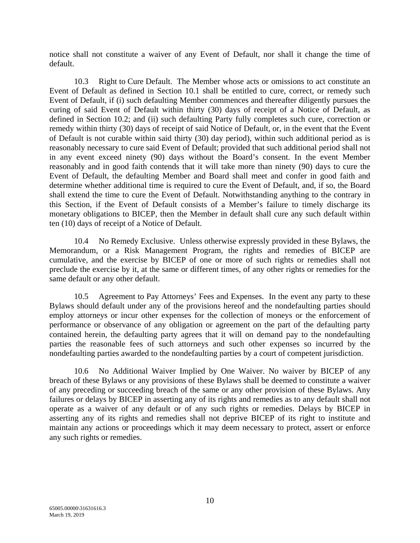notice shall not constitute a waiver of any Event of Default, nor shall it change the time of default.

10.3 Right to Cure Default. The Member whose acts or omissions to act constitute an Event of Default as defined in Section 10.1 shall be entitled to cure, correct, or remedy such Event of Default, if (i) such defaulting Member commences and thereafter diligently pursues the curing of said Event of Default within thirty (30) days of receipt of a Notice of Default, as defined in Section 10.2; and (ii) such defaulting Party fully completes such cure, correction or remedy within thirty (30) days of receipt of said Notice of Default, or, in the event that the Event of Default is not curable within said thirty (30) day period), within such additional period as is reasonably necessary to cure said Event of Default; provided that such additional period shall not in any event exceed ninety (90) days without the Board's consent. In the event Member reasonably and in good faith contends that it will take more than ninety (90) days to cure the Event of Default, the defaulting Member and Board shall meet and confer in good faith and determine whether additional time is required to cure the Event of Default, and, if so, the Board shall extend the time to cure the Event of Default. Notwithstanding anything to the contrary in this Section, if the Event of Default consists of a Member's failure to timely discharge its monetary obligations to BICEP, then the Member in default shall cure any such default within ten (10) days of receipt of a Notice of Default.

10.4 No Remedy Exclusive. Unless otherwise expressly provided in these Bylaws, the Memorandum, or a Risk Management Program, the rights and remedies of BICEP are cumulative, and the exercise by BICEP of one or more of such rights or remedies shall not preclude the exercise by it, at the same or different times, of any other rights or remedies for the same default or any other default.

10.5 Agreement to Pay Attorneys' Fees and Expenses. In the event any party to these Bylaws should default under any of the provisions hereof and the nondefaulting parties should employ attorneys or incur other expenses for the collection of moneys or the enforcement of performance or observance of any obligation or agreement on the part of the defaulting party contained herein, the defaulting party agrees that it will on demand pay to the nondefaulting parties the reasonable fees of such attorneys and such other expenses so incurred by the nondefaulting parties awarded to the nondefaulting parties by a court of competent jurisdiction.

10.6 No Additional Waiver Implied by One Waiver. No waiver by BICEP of any breach of these Bylaws or any provisions of these Bylaws shall be deemed to constitute a waiver of any preceding or succeeding breach of the same or any other provision of these Bylaws. Any failures or delays by BICEP in asserting any of its rights and remedies as to any default shall not operate as a waiver of any default or of any such rights or remedies. Delays by BICEP in asserting any of its rights and remedies shall not deprive BICEP of its right to institute and maintain any actions or proceedings which it may deem necessary to protect, assert or enforce any such rights or remedies.